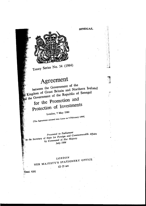SENEGAL



Treaty Series No. 54 (1984)

# **Agreement**

between the Government of the<br>Kingdom of Great Britain and Northern Irela<br>and the Government of the Republic of Senegal  $\frac{\text{between 1}}{\text{from 1}}$  of Great Britain and Northern Ireland  $\zeta$ inguom  $\zeta$  comment of the Republic of  $\zeta$ 

for the Promotion and Protection of Investments

London. 7 May 1980

['the Agreement entered into force on 9 February 1984]

*Presented to Parliament the Secretary of State for Foreign and commonwealth Affairs by command 01 Her Majesty*  by Command of Her Majesty<br>July 1984

## *LONDON*

# HER MAJESTY'S STATIONERY OFFICE

## £2.25 net

Cmnd. 9292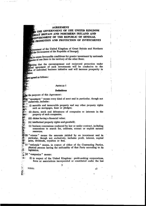#### **AGREEMENT**

## . 'THE **GOVERNMENT OF THE UNITED KINGDOM TREAT BRITAIN AND NORTHERN IRELAND AND KOVERNMENT OF THE REPUBLIC OF SENEGAL PROMOTION AND PROTECTION OF INVESTMENTS**

Overnment of the United Kingdom of Great Britain and Northern Government of the Republic of Senegal;

create favourable conditions for greater investment by nationals of one State in the territory of the other State;

that the encouragement and reciprocal protection under agreement of such investments will be conducive to the ation of individual business initiative and will increase prosperity in istates;

Have agreed as follows:

#### ARTICLB I

#### **Definilions**

the purposes of this Agreement:

'" investment" means every kind of asset and in particular, though not exclusively, includes:

- (i) movable and immovable property and any other property rights such as mortgages, liens or pledges;
- **A**  $\mathbf{r}$ (ii) shares, stock and debentures of companies or interests in the property of such companies; **脚筋** 
	- (iii) claims having a financial value;
	- (iv) intellectual property rights and goodwill;
	- (v) business concessions conferred by law or under contract, including concessions to search for, cultivate, extract or exploit natural resources.

 $\mathcal{H}(b)$  " returns" means the amounts yielded by an investment and in . particular, though not exclusively, includes profit, interest, capital gains, dividends, royalties or fees.

(c) " nationals " means, in respect of either of the Contracting Parties, pbysical persons having the nationality of that Party according to its legislation.

- **"companies" means:**  ¥.
- $\mathbb{R}$ : (i) in respect of the United Kingdom: profit-seeking corporations, firms or associations incorporated or constituted under the law

 $\lambda$ 2

3

3153531

ı, k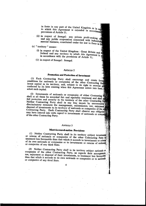in force in any part of the United Kingdom or in any to which this Agreement is extended in accordances provisions of Article 11;

(ii) in respect of Senegal: any private profit-seeking and any public corporation concerned with industrial mercial business, constituted under the law in force in Se

**(e) "territory" means:** 

(i) in respect of the United Kingdom: Great Britain and  $\hat{N}$ Ireland and any territory to which this Agreement is in accordance with the provisions of Article 11;

(ii) in respect of Senegal: Senegal.

#### ARTICLE 2

## **Promotion and Protection of Investment**

(1) Each Contracting Party shall encourage and create favour conditions for nationals or companies of the other Contracting Parts invest capital in its territory, and, subject to its right to exercise po conferred by its laws existing when this Agreement enters into force. admit sucb capital.

(2) Investments of nationals or companies of either Contracting shall at all times be accorded fair and equitable treatment and shall  $\frac{1}{6}$ full protection and security in the territory of the other Contracting Patt Neither Contracting Party shall in any way impair by unreasonable Netther Contracting Party shall in any way in any discriminatory measures the management, maintenance, use, enjoyment disposal of investments in its territory of nationals or companies of the of Contracting Party. Each Contracting Party shall observe any obligation may have entered into with regard to investments of nationals or company of the other Contracting Party.

#### ARTICLE 3

**Most-favoured-nation Provisions**<br>(1) Neither Contracting Party shall in its territory subject investment or returns of nationals or companies of the other Contracting Party to treatment less favourable than that which it accords to investments or returns of its own nationals or companies or to investments or returns of or companies of any third State.

(2) Neither Contracting Party shall in its territory subject nationals or companies of the other Contracting Party, as regards their management, use, enjoyment or disposal of their investments, to treatment less favourable than that which it accords to its own nationals or companies or to nationals or companies of any third State.

4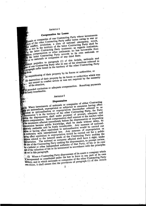## ARTICLE 4

## **Compensation for Losses**

 $\frac{1}{2}$  companies of one Contracting Party whose investments war or ship with the other contracting Party suffer losses owing to war or<br>lighty of the other Contracting Party suffer losses owing to war or<br>fighty of the other contracting Party shall be<br>the or riot in the territory of the lat of the quick com-<br>a state of national emergency shall be d conflict, level and the latter Contracting  $\frac{1}{2}$  restitution, It flot in the contracting Party treatment, as regards restinguished than latter computer  $\epsilon$  other settlement, no less favour nationals or the latter Contracting Party accords to its own nationals or the latter Contracting Party accords to its own nationals or to nationals or companies of any third State. the latter Contracting Party accords to its own nationals or

 $\frac{p}{p}$  i.e. to paragraph (1) of this Article, national referred to thout prejudice to  $\frac{1}{2}$  referred to  $\frac{1}{2}$  of the situations referred to  $\frac{1}{2}$  referred to  $\frac{1}{2}$  referred to  $\frac{1}{2}$  referred to  $\frac{1}{2}$  referred to  $\frac{1}{2}$  referred to  $\frac{1}{2}$  referred to  $\frac{1}{2}$ ies  $\int$  one Contracting  $\frac{1}{2}$  in the territory of the other Contracting Party of the other Contracting Party

l

requisitioning of their property by its forces or authorities, or (a) requisitioning of their property by its forces or authorities which was (b) destruction of their property by its forces or authorities which was (b) des  $\frac{d}{dx}$  is a of their property by its forces or authorities when necessity  $\frac{1}{\sqrt{1-\frac{1}{\sqrt{1-\frac{1}{\sqrt{1-\frac{1}{\sqrt{1-\frac{1}{\sqrt{1-\frac{1}{\sqrt{1-\frac{1}{\sqrt{1-\frac{1}{\sqrt{1-\frac{1}{\sqrt{1-\frac{1}{\sqrt{1-\frac{1}{\sqrt{1-\frac{1}{\sqrt{1-\frac{1}{\sqrt{1-\frac{1}{\sqrt{1-\frac{1}{\sqrt{1-\frac{1}{\sqrt{1-\frac{1}{\sqrt{1-\frac{1}{\sqrt{1-\frac{1}{\sqrt{1-\frac{1}{\sqrt{1-\frac{1}{\sqrt{1-\frac{1}{\sqrt{1-\frac{1}{\sqrt{1-\frac{1}{\sqrt{1-\frac{1$ 

of the situation.  $\sum_{i=1}^{n}$  restitution or adequate compensation. Research  $\epsilon$ 

transferable.

### ARTICLE 5

#### **Dispossession**

 $\epsilon$  is the integral of nationals or companies of  $\epsilon$  contracting effect here investments or similar subjected to measure and to as to the nationalised, expropriated or subjected to measures having effect<br>invalent to nationalisation or expropriation (hereinafter referred to as dispossession ") in the territory of the other Contracting Party, the Party<br>dispossession ") in the territory of the other Contracting Party, adequate and<br>dispossession. Such compensation shall amount to the market value  $\frac{\text{d}}{\text{d}}$  and the disposition shall make payment of prompt, and the market value the dispossession shall amount to the market value of impending e compensation. Such  $\frac{1}{2}$  immediately before the dispossession of  $\frac{1}{2}$  edge, be  $\epsilon$ <sub>m</sub> allected indicates and be made without  $\epsilon$  mationaldispossession became public knowledge, shall be made without delay, be dispossession became public knowledge, shall be made without delay, be dispossession realisable and be freely transferable. Any measure of nationalmattery realisable and be the sy transic and the carried out **Theorie of the international law.** Any measure of experience of a public effect with increasing would be carried  $\frac{1}{2}$  making the white with the internal needs of the Contracting Party making the internal needs of the Contracting Party making the internal or company affected shall have a right, under the law of the Contracting Party making the dispos the law of the Contracting Party making the dispossession, to prompt review, the law of the Contracting Party making the dispossession, to prompt review; by a judicial or other independent authority of that Party, of his o law of the Contracting  $2\pi$  independent authority of that  $P_{\text{at}}, \frac{1}{2}$  integration independent authority of that  $P_{\text{at}}, \frac{1}{2}$  integration is also in the principles  $\frac{dy}{dx}$  a judicial or other investment in accordance with the principles of his or its investment in accordance with the principles

set out in this paragraph.<br> $\frac{1}{2}$  (2) Where a Contracting Party dispossesses of its assets a company which  $\sum_{n=1}^{\infty}$  Contracting Party dispossesses of its assets a compart of its own where a constituted under the law in force in any particular party fficorporated or constitutionals or companies of the other Contractionals Particle terfitory, and in which ideas.  $\frac{1}{2}$  is shares. If  $\frac{1}{2}$  consumer that the provisions of paragraph (2)

5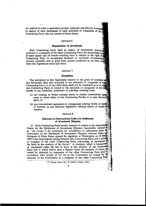are applied in order to guarantee prompt, adequate and effective compens in respect of their investment to such nationals or companies of the Contracting Party who are owners of those shares.

#### ARTICLE 6

#### Repatriation of Investment

Each Contracting Party shall in respect of investments guaranteen pationals or companies of the other Contracting Party the unrestricted trans of their capital and of returns resulting from it, subject to the right of Contracting Party in exceptional financial or economic circumstances exercise equitably and in good faith powers conferred by its laws exists when this Agreement enters into force.

#### ARTICLE 7

#### Exceptions

The provisions in this Agreement relative to the grant of treatment has less favourable than that accorded to the nationals or companies of either Contracting Party or of any third State shall not be construed so as to one Contracting Party to extend to the nationals or companies of the benefit of any treatment, preference or privilege resulting from

- (a) any existing or future customs union or similar international ment to which either of the Contracting Parties is or may become party, or
- (b) any international agreement or arrangement relating wholly or main to taxation or any domestic legislation relating wholly or mainly  $\blacksquare$ taxation. .

#### ARTICLE 8

#### Reference to International Centre for Settlement of Investment Disputes

(1) Each Contracting Party hereby consents to submit to the Internations Centre for the Settlement of Investment Disputes (hereinafter referred to as "the Centre") for settlement by conciliation or arbitration under the Convention on the Settlement of Investment Disputes between States and Nationals of Other States opened for signature at Washington on 18 Mart 1965(<sup>1</sup>) any legal dispute arising between that Contracting Party and a national or company of the other Contracting Party concerning an investment the latter in the territory of the former. A company which is incorporated or constituted under the law in force in the territory of one Contractiff Party and in which before such a dispute arises the majority of shares are owned by nationals or companies of the other Contracting Party shall in accordance with Article 25 (2) (b) of the Convention be treated for  $\frac{dx}{dx}$ purposes of the Convention as a company of the other Contracting Pany

#### (1) Treaty Series No. 25 (1967), Cmnd. 3255.

6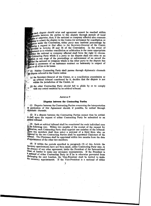such dispute should arise and agreement cannot be reached within months between the parties to this dispute through pursuit of local states or otherwise, then, if the national or company affected also consents the submit the dispute to the Centre for settlement by conciliation or under the Convention, either party may institute proceedings by a request to that effect to the Secretary-General of the Centre in Articles 28 and 36 of the Convention. In the event of as to whether conciliation or arbitration is the more appropriate the national or company affected shall have the right to choose. Contracting Party which is a party to the dispute shall not raise as an at any stage of the proceedings or enforcement of an award the the national or company which is the other party to the dispute has **in the set of an insurance contract an indemnity in respect of** one or all of his or its losses.

 $\mathbb{R}^2$  Neither Contracting Party shall pursue through diplomatic channels iny dispute referred to the Centre unless

(a) the Secretary·General of the Centre, or a conciliation commission or an arbitral tribunal constituted by it, decides that the dispute is not within the jurisdiction of the Centre, or within the jurisdiction of the Centre, or

(b) the other Contracting Party should fail to abide by or to comply with any award rendered by an arbitral tribunal.

#### ARTICLE 9

#### **Disputes between the Contracting Parties**

**(1)** Disputes between the Contracting Parties concerning the interpretation at application of this Agreement should, if possible, be settled through diplomatic channels.

(2) If a dispute between the Contracting Parties cannot thus be settled, it: shall upon the request of either Contracting Party be submitted to an \_~bilral tribunal.

in the following way. Within two months of the receipt of the request for an individual case in the following way. Within two months of the receipt of the request for applituation, each Contracting Party shall appoint one (3) Such an arbitral tribunal shall be constituted for each individual case "bitration, each Contracting Party shall appoint one member of the tribunal. the two members shall then select a national of a third State who on approval by the two Contracting Parties shall be appointed Chairman of the tribunal. The Chairman shall be appointed within two months from the date of appointment of the other two members.

, (4) If within the periods specified in paragraph (3) of this Article the necessary appointments have not been made, either Contracting Party may, in the absence of any other agreement, invite the President of the International Court of Justice to make any necessary appointments. If the President is <sup>a</sup> national of either Contracting Party or if he is otherwise prevented from discharging the said function, the Vice-President shall be invited to make the necessary appointments. If the Vice-President is a national of either

.7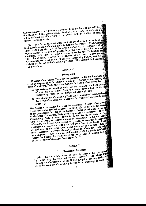$C_{\text{C}}$  Party or if he too is prevented from discarging the seniority Contracting Party of  $f_{\text{the}}$  International Court of Justice next invited to make not a national of either Contracting Party shall be invited to make not a national of either Contracting Party shall be invited to make necessary appointments.

(5) The arbitral tribunal shall reach its decision by a majority of  $\frac{1}{100}$  $\sum_{i=1}^{n}$  in a buttle binding on both Contracting  $P$  the tribunal Such decision shall be cost of its own member of the Chairman and Fearty shall bear the cost of its own member of the tribunal and of representation in the arbitral proceedings; the cost of the Chairman and The tribunal may, however, in its decision direct that a higher proportion of costs shall be borne by one of the two Contracting Parties, and this are shall be borne by one of the two Contracting Parties, and this shall be The tribunal may, however, in its decision direct that a higher proposition of costs shall be borne by one of the two Contracting Parties, and this as own procedure.

## ARTICLE **10**

### **subrogatiou**

 $\epsilon$  Contracting Party makes payment under an indemnity If either Contracting  $\frac{1}{2}$  investment or any part there  $\frac{1}{2}$  recognise given in respect of  $\frac{m}{2}$  the latter Contracting Party shall traction a legal traction other Contracting Party the latter Contracting Party shall recognise<br>(a) the assignment, whether under law or pursuant to a legal transact<br>of any right or claim from the party indemnified to the form

Contracting Party (or its designated Agency), and<br>that the former Contracting Party (or its designated Agency) is ent<br>by virtue of subrogation to exercise the rights and enforce the claim **CONTROLLET CONTRACTING PARTY (OF ITS GESTERNATE AGENCY)** that the jointed  $\epsilon$  subrogation to exercise the rights and enforce the rights and engagement

such a party.<br>Contracting Party (or its designated Agency) shall The former Contracting to assert any such right or critician in if it so desires be entitled to assert any such right or claim to the same as its predecessor in title either before a Court or tribunal in the the of the latter Contracting Party or in any other circumstances. If the la Contracting Party acquires amounts in the lawful currency of the Contracting Party or credits thereof by assignment under the terms indemnity, the former Contracting Party shall be accorded in respect treatment not less favourable than that accorded to the funds of comor nationals of the latter Contracting Party or of any third State de from investment activities similar to those in which the party independence in which the party available was engaged. Such amounts and credits shall be from investment activities similar to those in which the party, conwas engaged. Such amounts and credits shall be freely available in the territory of the other Contracting Party.

## ARTICLE 11

## **Territorial Extension**

After the entry into force of this Agreement for whose  $\mu$ After the  $\frac{1}{2}$  be extended to such terms are formulated for  $\frac{1}{2}$  terms are formulated for  $\frac{1}{2}$  terms are formulated for  $\frac{1}{2}$  terms are formulated for  $\frac{1}{2}$  terms are formulated for  $\frac{1}{2}$  terms Agreement may be given of the United Kingdom are of notes. relations the Government of the United Kingdom are responsible as agreed between the Contracting Parties in an exchange of notes.